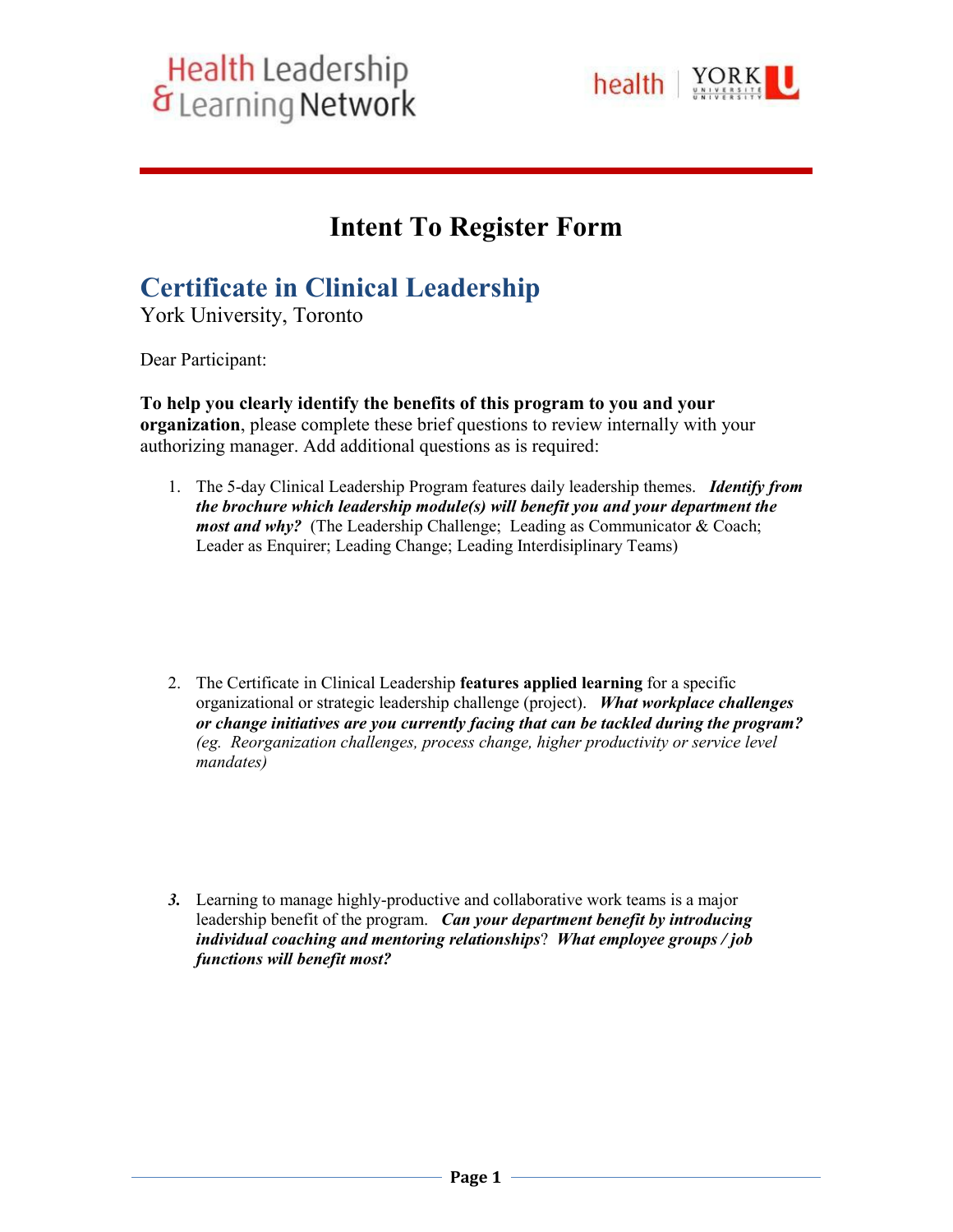## Health Leadership<br>& Learning Network



## **Intent To Register Form**

## **Certificate in Clinical Leadership**

York University, Toronto

Dear Participant:

**To help you clearly identify the benefits of this program to you and your organization**, please complete these brief questions to review internally with your authorizing manager. Add additional questions as is required:

- 1. The 5-day Clinical Leadership Program features daily leadership themes. *Identify from the brochure which leadership module(s) will benefit you and your department the most and why?* (The Leadership Challenge; Leading as Communicator & Coach; Leader as Enquirer; Leading Change; Leading Interdisiplinary Teams)
- 2. The Certificate in Clinical Leadership **features applied learning** for a specific organizational or strategic leadership challenge (project). *What workplace challenges or change initiatives are you currently facing that can be tackled during the program? (eg. Reorganization challenges, process change, higher productivity or service level mandates)*
- *3.* Learning to manage highly-productive and collaborative work teams is a major leadership benefit of the program. *Can your department benefit by introducing individual coaching and mentoring relationships*? *What employee groups / job functions will benefit most?*